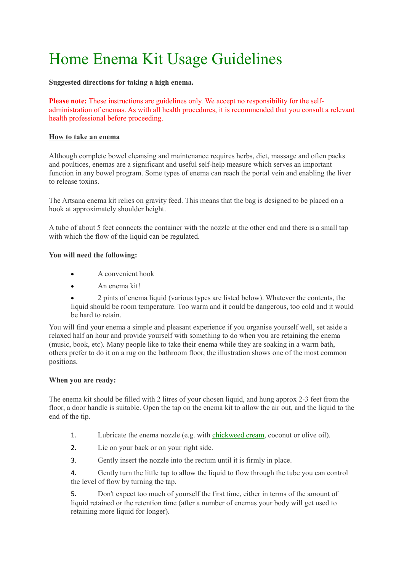## Home Enema Kit Usage Guidelines

**Suggested directions for taking a high enema.**

**Please note:** These instructions are guidelines only. We accept no responsibility for the selfadministration of enemas. As with all health procedures, it is recommended that you consult a relevant health professional before proceeding.

## **How to take an enema**

Although complete bowel cleansing and maintenance requires herbs, diet, massage and often packs and poultices, enemas are a significant and useful self-help measure which serves an important function in any bowel program. Some types of enema can reach the portal vein and enabling the liver to release toxins.

The Artsana enema kit relies on gravity feed. This means that the bag is designed to be placed on a hook at approximately shoulder height.

A tube of about 5 feet connects the container with the nozzle at the other end and there is a small tap with which the flow of the liquid can be regulated.

## **You will need the following:**

- A convenient hook
- An enema kit!
- 2 pints of enema liquid (various types are listed below). Whatever the contents, the liquid should be room temperature. Too warm and it could be dangerous, too cold and it would be hard to retain.

You will find your enema a simple and pleasant experience if you organise yourself well, set aside a relaxed half an hour and provide yourself with something to do when you are retaining the enema (music, book, etc). Many people like to take their enema while they are soaking in a warm bath, others prefer to do it on a rug on the bathroom floor, the illustration shows one of the most common positions.

## **When you are ready:**

The enema kit should be filled with 2 litres of your chosen liquid, and hung approx 2-3 feet from the floor, a door handle is suitable. Open the tap on the enema kit to allow the air out, and the liquid to the end of the tip.

- 1. Lubricate the enema nozzle (e.g. with [chickweed cream,](http://www.specialistsupplements.com/chickweed-herb-cream) coconut or olive oil).
- 2. Lie on your back or on your right side.
- 3. Gently insert the nozzle into the rectum until it is firmly in place.

4. Gently turn the little tap to allow the liquid to flow through the tube you can control the level of flow by turning the tap.

5. Don't expect too much of yourself the first time, either in terms of the amount of liquid retained or the retention time (after a number of enemas your body will get used to retaining more liquid for longer).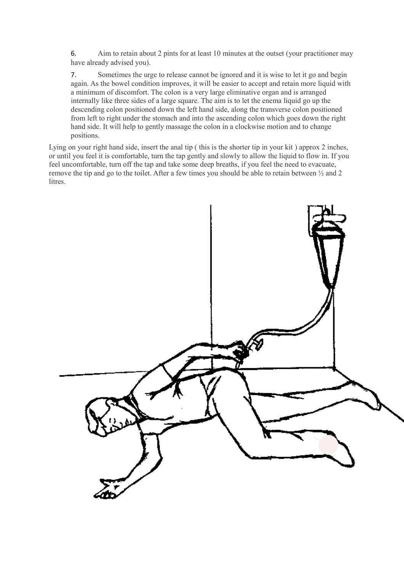6. Aim to retain about 2 pints for at least 10 minutes at the outset (your practitioner may have already advised you).

7. Sometimes the urge to release cannot be ignored and it is wise to let it go and begin again. As the bowel condition improves, it will be easier to accept and retain more liquid with a minimum of discomfort. The colon is a very large eliminative organ and is arranged internally like three sides of a large square. The aim is to let the enema liquid go up the descending colon positioned down the left hand side, along the transverse colon positioned from left to right under the stomach and into the ascending colon which goes down the right hand side. It will help to gently massage the colon in a clockwise motion and to change positions.

Lying on your right hand side, insert the anal tip ( this is the shorter tip in your kit ) approx 2 inches, or until you feel it is comfortable, turn the tap gently and slowly to allow the liquid to flow in. If you feel uncomfortable, turn off the tap and take some deep breaths, if you feel the need to evacuate, remove the tip and go to the toilet. After a few times you should be able to retain between ½ and 2 litres.